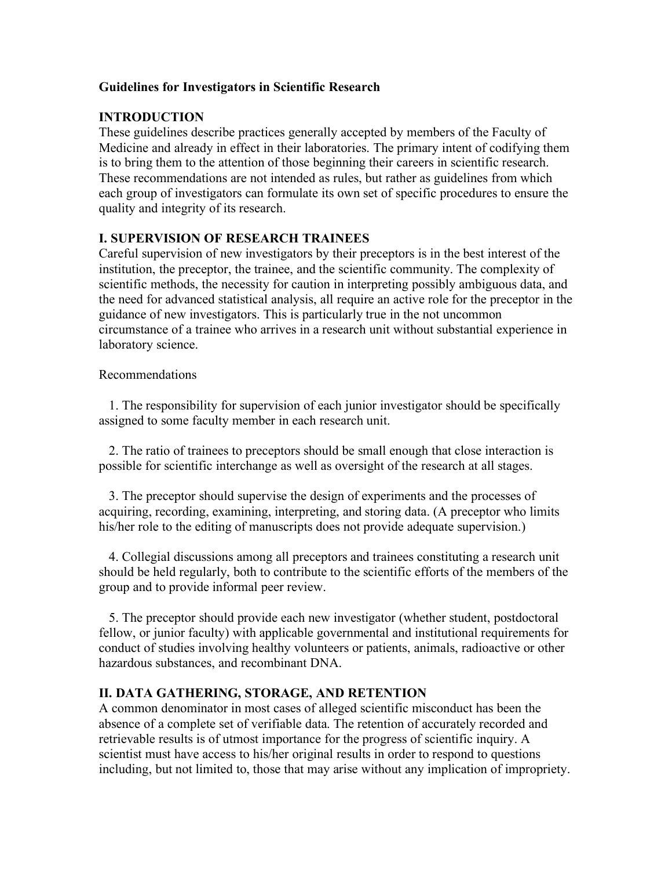## **Guidelines for Investigators in Scientific Research**

## **INTRODUCTION**

These guidelines describe practices generally accepted by members of the Faculty of Medicine and already in effect in their laboratories. The primary intent of codifying them is to bring them to the attention of those beginning their careers in scientific research. These recommendations are not intended as rules, but rather as guidelines from which each group of investigators can formulate its own set of specific procedures to ensure the quality and integrity of its research.

### **I. SUPERVISION OF RESEARCH TRAINEES**

Careful supervision of new investigators by their preceptors is in the best interest of the institution, the preceptor, the trainee, and the scientific community. The complexity of scientific methods, the necessity for caution in interpreting possibly ambiguous data, and the need for advanced statistical analysis, all require an active role for the preceptor in the guidance of new investigators. This is particularly true in the not uncommon circumstance of a trainee who arrives in a research unit without substantial experience in laboratory science.

### Recommendations

 1. The responsibility for supervision of each junior investigator should be specifically assigned to some faculty member in each research unit.

 2. The ratio of trainees to preceptors should be small enough that close interaction is possible for scientific interchange as well as oversight of the research at all stages.

 3. The preceptor should supervise the design of experiments and the processes of acquiring, recording, examining, interpreting, and storing data. (A preceptor who limits his/her role to the editing of manuscripts does not provide adequate supervision.)

 4. Collegial discussions among all preceptors and trainees constituting a research unit should be held regularly, both to contribute to the scientific efforts of the members of the group and to provide informal peer review.

 5. The preceptor should provide each new investigator (whether student, postdoctoral fellow, or junior faculty) with applicable governmental and institutional requirements for conduct of studies involving healthy volunteers or patients, animals, radioactive or other hazardous substances, and recombinant DNA.

### **II. DATA GATHERING, STORAGE, AND RETENTION**

A common denominator in most cases of alleged scientific misconduct has been the absence of a complete set of verifiable data. The retention of accurately recorded and retrievable results is of utmost importance for the progress of scientific inquiry. A scientist must have access to his/her original results in order to respond to questions including, but not limited to, those that may arise without any implication of impropriety.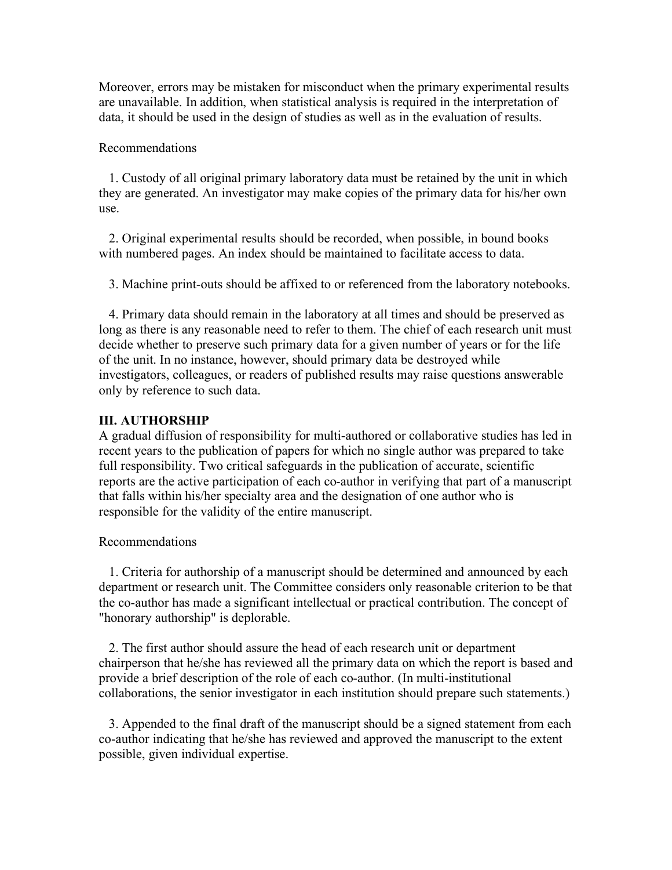Moreover, errors may be mistaken for misconduct when the primary experimental results are unavailable. In addition, when statistical analysis is required in the interpretation of data, it should be used in the design of studies as well as in the evaluation of results.

#### Recommendations

 1. Custody of all original primary laboratory data must be retained by the unit in which they are generated. An investigator may make copies of the primary data for his/her own use.

 2. Original experimental results should be recorded, when possible, in bound books with numbered pages. An index should be maintained to facilitate access to data.

3. Machine print-outs should be affixed to or referenced from the laboratory notebooks.

 4. Primary data should remain in the laboratory at all times and should be preserved as long as there is any reasonable need to refer to them. The chief of each research unit must decide whether to preserve such primary data for a given number of years or for the life of the unit. In no instance, however, should primary data be destroyed while investigators, colleagues, or readers of published results may raise questions answerable only by reference to such data.

### **III. AUTHORSHIP**

A gradual diffusion of responsibility for multi-authored or collaborative studies has led in recent years to the publication of papers for which no single author was prepared to take full responsibility. Two critical safeguards in the publication of accurate, scientific reports are the active participation of each co-author in verifying that part of a manuscript that falls within his/her specialty area and the designation of one author who is responsible for the validity of the entire manuscript.

### Recommendations

 1. Criteria for authorship of a manuscript should be determined and announced by each department or research unit. The Committee considers only reasonable criterion to be that the co-author has made a significant intellectual or practical contribution. The concept of "honorary authorship" is deplorable.

 2. The first author should assure the head of each research unit or department chairperson that he/she has reviewed all the primary data on which the report is based and provide a brief description of the role of each co-author. (In multi-institutional collaborations, the senior investigator in each institution should prepare such statements.)

 3. Appended to the final draft of the manuscript should be a signed statement from each co-author indicating that he/she has reviewed and approved the manuscript to the extent possible, given individual expertise.